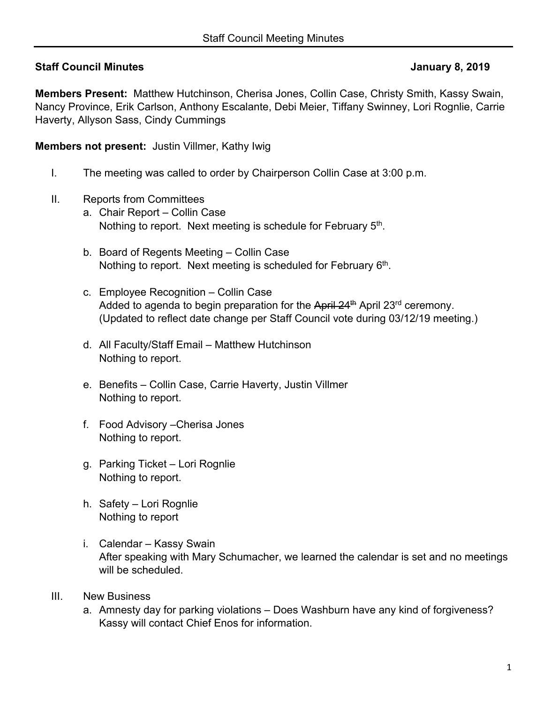# **Staff Council Minutes January 8, 2019**

**Members Present:** Matthew Hutchinson, Cherisa Jones, Collin Case, Christy Smith, Kassy Swain, Nancy Province, Erik Carlson, Anthony Escalante, Debi Meier, Tiffany Swinney, Lori Rognlie, Carrie Haverty, Allyson Sass, Cindy Cummings

**Members not present:** Justin Villmer, Kathy Iwig

- I. The meeting was called to order by Chairperson Collin Case at 3:00 p.m.
- II. Reports from Committees
	- a. Chair Report Collin Case Nothing to report. Next meeting is schedule for February 5<sup>th</sup>.
	- b. Board of Regents Meeting Collin Case Nothing to report. Next meeting is scheduled for February 6<sup>th</sup>.
	- c. Employee Recognition Collin Case Added to agenda to begin preparation for the April 24<sup>th</sup> April 23<sup>rd</sup> ceremony. (Updated to reflect date change per Staff Council vote during 03/12/19 meeting.)
	- d. All Faculty/Staff Email Matthew Hutchinson Nothing to report.
	- e. Benefits Collin Case, Carrie Haverty, Justin Villmer Nothing to report.
	- f. Food Advisory –Cherisa Jones Nothing to report.
	- g. Parking Ticket Lori Rognlie Nothing to report.
	- h. Safety Lori Rognlie Nothing to report
	- i. Calendar Kassy Swain After speaking with Mary Schumacher, we learned the calendar is set and no meetings will be scheduled.
- III. New Business
	- a. Amnesty day for parking violations Does Washburn have any kind of forgiveness? Kassy will contact Chief Enos for information.